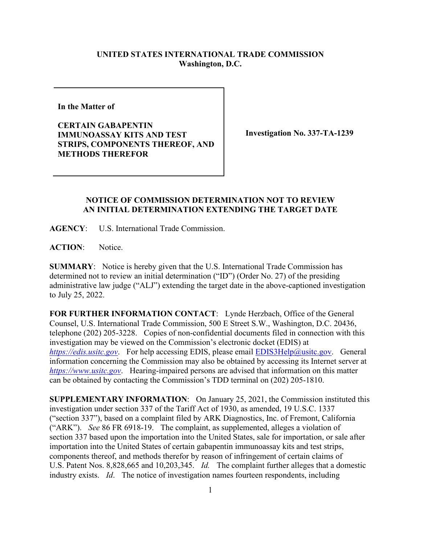## **UNITED STATES INTERNATIONAL TRADE COMMISSION Washington, D.C.**

**In the Matter of** 

**CERTAIN GABAPENTIN IMMUNOASSAY KITS AND TEST STRIPS, COMPONENTS THEREOF, AND METHODS THEREFOR**

**Investigation No. 337-TA-1239**

## **NOTICE OF COMMISSION DETERMINATION NOT TO REVIEW AN INITIAL DETERMINATION EXTENDING THE TARGET DATE**

**AGENCY**: U.S. International Trade Commission.

**ACTION**: Notice.

**SUMMARY**: Notice is hereby given that the U.S. International Trade Commission has determined not to review an initial determination ("ID") (Order No. 27) of the presiding administrative law judge ("ALJ") extending the target date in the above-captioned investigation to July 25, 2022.

**FOR FURTHER INFORMATION CONTACT**: Lynde Herzbach, Office of the General Counsel, U.S. International Trade Commission, 500 E Street S.W., Washington, D.C. 20436, telephone (202) 205-3228. Copies of non-confidential documents filed in connection with this investigation may be viewed on the Commission's electronic docket (EDIS) at *[https://edis.usitc.gov](https://edis.usitc.gov/)*. For help accessing EDIS, please email [EDIS3Help@usitc.gov.](mailto:EDIS3Help@usitc.gov) General information concerning the Commission may also be obtained by accessing its Internet server at *[https://www.usitc.gov](https://www.usitc.gov/)*. Hearing-impaired persons are advised that information on this matter can be obtained by contacting the Commission's TDD terminal on (202) 205-1810.

**SUPPLEMENTARY INFORMATION**: On January 25, 2021, the Commission instituted this investigation under section 337 of the Tariff Act of 1930, as amended, 19 U.S.C. 1337 ("section 337"), based on a complaint filed by ARK Diagnostics, Inc. of Fremont, California ("ARK"). *See* 86 FR 6918-19. The complaint, as supplemented, alleges a violation of section 337 based upon the importation into the United States, sale for importation, or sale after importation into the United States of certain gabapentin immunoassay kits and test strips, components thereof, and methods therefor by reason of infringement of certain claims of U.S. Patent Nos. 8,828,665 and 10,203,345. *Id.* The complaint further alleges that a domestic industry exists. *Id*. The notice of investigation names fourteen respondents, including